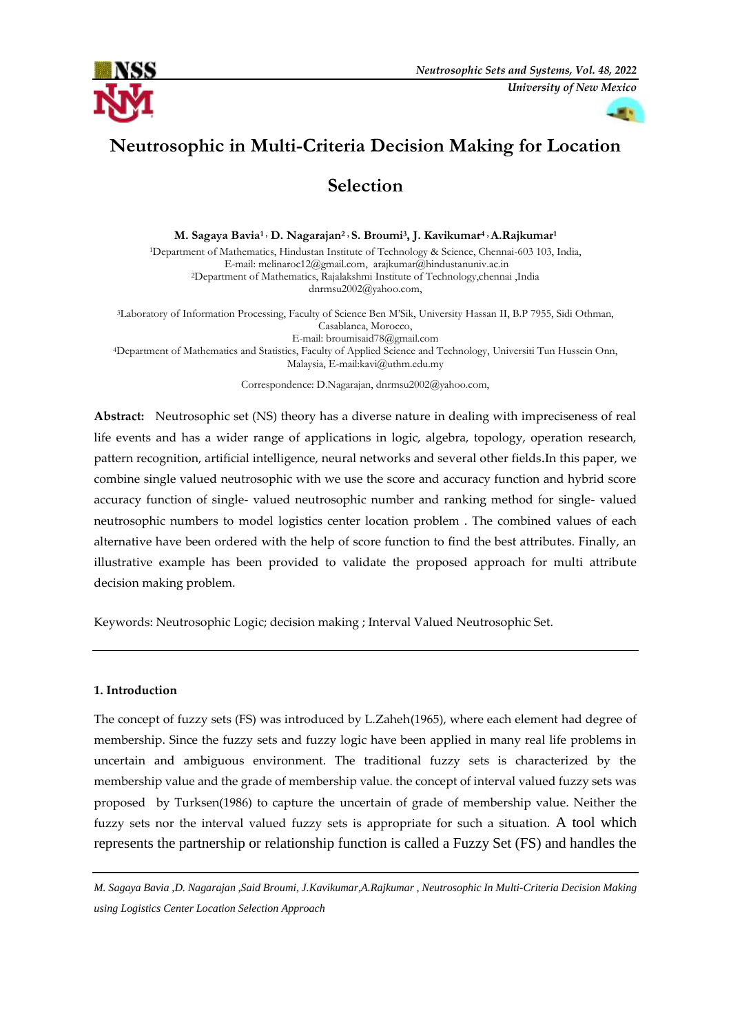



# **Neutrosophic in Multi-Criteria Decision Making for Location**

## **Selection**

**M. Sagaya Bavia1 , D. Nagarajan<sup>2</sup> , S. Broumi<sup>3</sup> , J. Kavikumar4 , A.Rajkumar<sup>1</sup>** <sup>1</sup>Department of Mathematics, Hindustan Institute of Technology & Science, Chennai-603 103, India, E-mail[: melinaroc12@gmail.com,](mailto:melinaroc12@gmail.com)  [arajkumar@hindustanuniv.ac.in](mailto:arajkumar@hindustanuniv.ac.in)<sup>2</sup>Department of Mathematics, Rajalakshmi Institute of Technology,chennai ,India [dnrmsu2002@yahoo.com,](mailto:dnrmsu2002@yahoo.com)

<sup>3</sup>Laboratory of Information Processing, Faculty of Science Ben M'Sik, University Hassan II, B.P 7955, Sidi Othman, Casablanca, Morocco, E-mail[: broumisaid78@gmail.com](mailto:broumisaid78@gmail.com) <sup>4</sup>Department of Mathematics and Statistics, Faculty of Applied Science and Technology, Universiti Tun Hussein Onn, Malaysia, E-mail:kavi@uthm.edu.my

Correspondence: D.Nagarajan, dnrmsu2002@yahoo.com,

**Abstract:** Neutrosophic set (NS) theory has a diverse nature in dealing with impreciseness of real life events and has a wider range of applications in logic, algebra, topology, operation research, pattern recognition, artificial intelligence, neural networks and several other fields.In this paper, we combine single valued neutrosophic with we use the score and accuracy function and hybrid score accuracy function of single- valued neutrosophic number and ranking method for single- valued neutrosophic numbers to model logistics center location problem . The combined values of each alternative have been ordered with the help of score function to find the best attributes. Finally, an illustrative example has been provided to validate the proposed approach for multi attribute decision making problem.

Keywords: Neutrosophic Logic; decision making ; Interval Valued Neutrosophic Set.

### **1. Introduction**

The concept of fuzzy sets (FS) was introduced by L.Zaheh(1965), where each element had degree of membership. Since the fuzzy sets and fuzzy logic have been applied in many real life problems in uncertain and ambiguous environment. The traditional fuzzy sets is characterized by the membership value and the grade of membership value. the concept of interval valued fuzzy sets was proposed by Turksen(1986) to capture the uncertain of grade of membership value. Neither the fuzzy sets nor the interval valued fuzzy sets is appropriate for such a situation. A tool which represents the partnership or relationship function is called a Fuzzy Set (FS) and handles the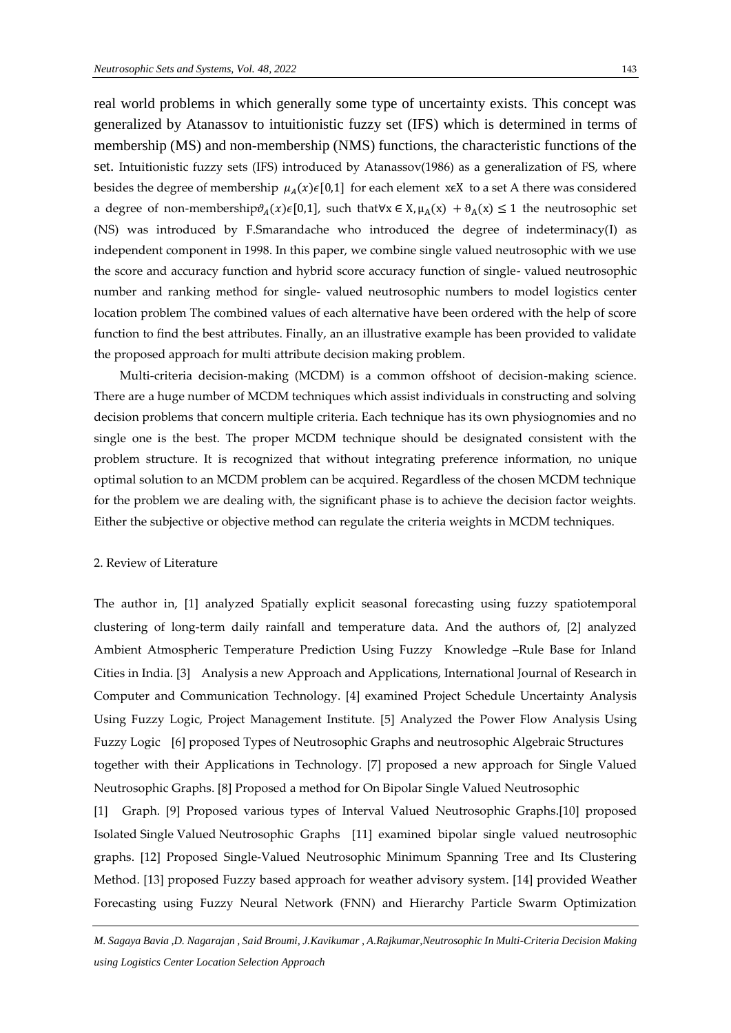real world problems in which generally some type of uncertainty exists. This concept was generalized by Atanassov to intuitionistic fuzzy set (IFS) which is determined in terms of membership (MS) and non-membership (NMS) functions, the characteristic functions of the set. Intuitionistic fuzzy sets (IFS) introduced by Atanassov(1986) as a generalization of FS, where besides the degree of membership  $\mu_A(x) \in [0,1]$  for each element x $\epsilon X$  to a set A there was considered a degree of non-membership $\vartheta_A(x)\in[0,1]$ , such that∀x  $\in$  X,  $\mu_A(x) + \vartheta_A(x) \leq 1$  the neutrosophic set (NS) was introduced by F.Smarandache who introduced the degree of indeterminacy(I) as independent component in 1998. In this paper, we combine single valued neutrosophic with we use the score and accuracy function and hybrid score accuracy function of single- valued neutrosophic number and ranking method for single- valued neutrosophic numbers to model logistics center location problem The combined values of each alternative have been ordered with the help of score function to find the best attributes. Finally, an an illustrative example has been provided to validate

Multi-criteria decision-making (MCDM) is a common offshoot of decision-making science. There are a huge number of MCDM techniques which assist individuals in constructing and solving decision problems that concern multiple criteria. Each technique has its own physiognomies and no single one is the best. The proper MCDM technique should be designated consistent with the problem structure. It is recognized that without integrating preference information, no unique optimal solution to an MCDM problem can be acquired. Regardless of the chosen MCDM technique for the problem we are dealing with, the significant phase is to achieve the decision factor weights. Either the subjective or objective method can regulate the criteria weights in MCDM techniques.

the proposed approach for multi attribute decision making problem.

#### 2. Review of Literature

The author in, [1] analyzed Spatially explicit seasonal forecasting using fuzzy spatiotemporal clustering of long-term daily rainfall and temperature data. And the authors of, [2] analyzed Ambient Atmospheric Temperature Prediction Using Fuzzy Knowledge –Rule Base for Inland Cities in India. [3] Analysis a new Approach and Applications, International Journal of Research in Computer and Communication Technology. [4] examined Project Schedule Uncertainty Analysis Using Fuzzy Logic, Project Management Institute. [5] Analyzed the Power Flow Analysis Using Fuzzy Logic [6] proposed Types of Neutrosophic Graphs and neutrosophic Algebraic Structures together with their Applications in Technology. [7] proposed a new approach for Single Valued Neutrosophic Graphs. [8] Proposed a method for On Bipolar Single Valued Neutrosophic

[1] Graph. [9] Proposed various types of Interval Valued Neutrosophic Graphs.[10] proposed Isolated Single Valued Neutrosophic Graphs [11] examined bipolar single valued neutrosophic graphs. [12] Proposed Single-Valued Neutrosophic Minimum Spanning Tree and Its Clustering Method. [13] proposed Fuzzy based approach for weather advisory system. [14] provided Weather Forecasting using Fuzzy Neural Network (FNN) and Hierarchy Particle Swarm Optimization

*M. Sagaya Bavia ,D. Nagarajan , Said Broumi, J.Kavikumar , A.Rajkumar,Neutrosophic In Multi-Criteria Decision Making using Logistics Center Location Selection Approach*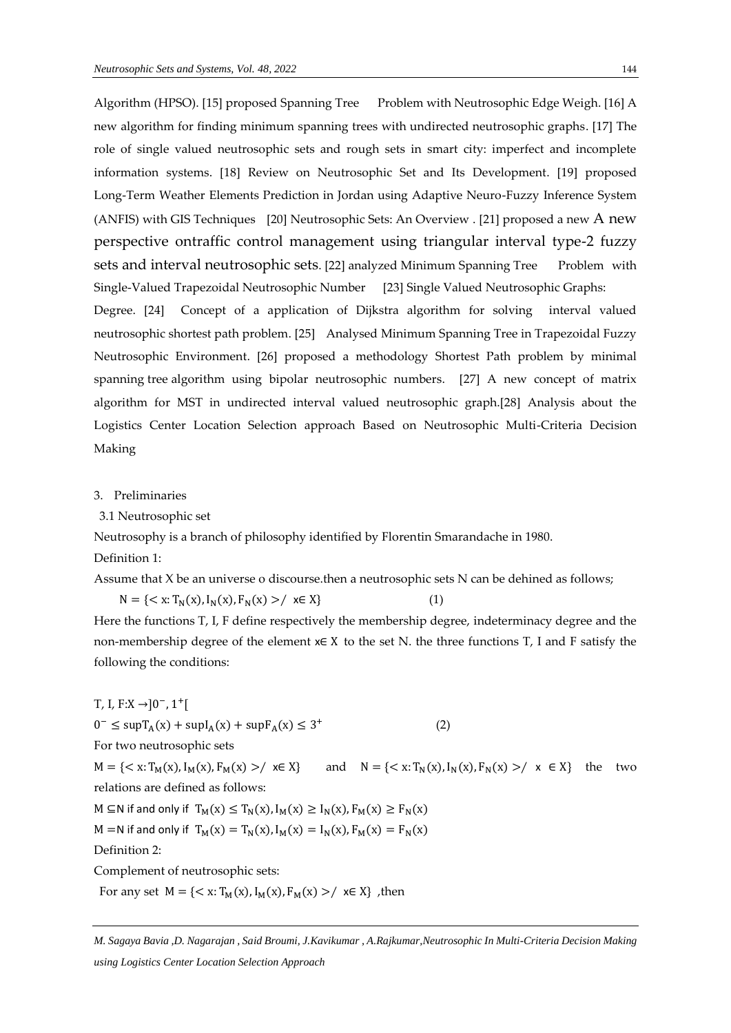Algorithm (HPSO). [15] proposed Spanning Tree Problem with Neutrosophic Edge Weigh. [16] A new algorithm for finding minimum spanning trees with undirected neutrosophic graphs. [17] The role of single valued neutrosophic sets and rough sets in smart city: imperfect and incomplete information systems. [18] Review on Neutrosophic Set and Its Development. [19] proposed Long-Term Weather Elements Prediction in Jordan using Adaptive Neuro-Fuzzy Inference System (ANFIS) with GIS Techniques [20] Neutrosophic Sets: An Overview . [21] proposed a new A new perspective ontraffic control management using triangular interval type-2 fuzzy sets and interval neutrosophic sets. [22] analyzed Minimum Spanning Tree Problem with Single-Valued Trapezoidal Neutrosophic Number [23] Single Valued Neutrosophic Graphs:

Degree. [24] Concept of a application of Dijkstra algorithm for solving interval valued neutrosophic shortest path problem. [25] Analysed Minimum Spanning Tree in Trapezoidal Fuzzy Neutrosophic Environment. [26] proposed a methodology Shortest Path problem by minimal spanning tree algorithm using bipolar neutrosophic numbers. [27] A new concept of matrix algorithm for MST in undirected interval valued neutrosophic graph.[28] Analysis about the Logistics Center Location Selection approach Based on Neutrosophic Multi-Criteria Decision Making

#### 3. Preliminaries

3.1 Neutrosophic set

Neutrosophy is a branch of philosophy identified by Florentin Smarandache in 1980.

Definition 1:

Assume that X be an universe o discourse.then a neutrosophic sets N can be dehined as follows;

 $N = \{ \langle x: T_N(x), I_N(x), F_N(x) \rangle / \; x \in X \}$  (1) Here the functions T, I, F define respectively the membership degree, indeterminacy degree and the

non-membership degree of the element x∈ X to the set N. the three functions T, I and F satisfy the following the conditions:

T, I, F:X → ]0<sup>-</sup>, 1<sup>+</sup>[  $0^- \leq \sup T_A(x) + \sup I_A(x) + \sup F_A(x) \leq 3$  $+$  (2) For two neutrosophic sets  $M = \{ \langle x : T_M(x), I_M(x), F_M(x) \rangle / \langle x \in X \}$  and  $N = \{ \langle x : T_N(x), I_N(x), F_N(x) \rangle / \langle x \in X \}$  the two relations are defined as follows:  $M \subseteq N$  if and only if  $T_M(x) \leq T_N(x)$ ,  $I_M(x) \geq I_N(x)$ ,  $F_M(x) \geq F_N(x)$ M =N if and only if  $T_M(x) = T_N(x)$ ,  $I_M(x) = I_N(x)$ ,  $F_M(x) = F_N(x)$ Definition 2:

Complement of neutrosophic sets:

For any set  $M = \{ \langle x : T_M(x), I_M(x), F_M(x) \rangle / \}$   $x \in X \}$ , then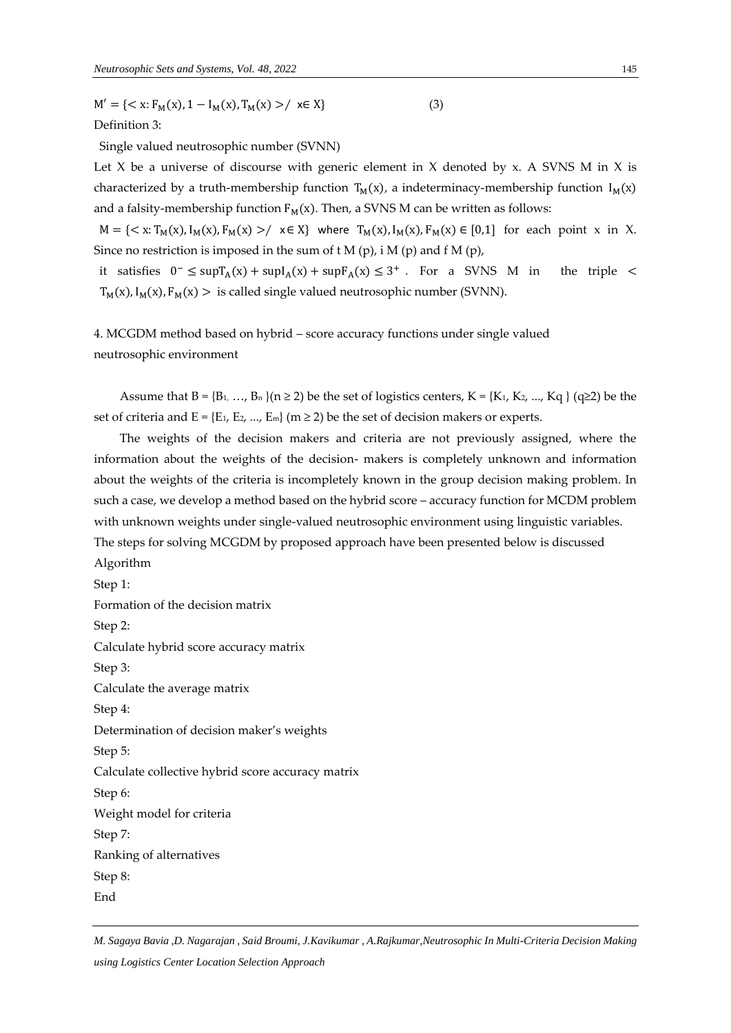$M' = \{ \langle x : F_M(x), 1 - I_M(x), T_M(x) \rangle / \langle x \in X \}$  (3) Definition 3:

Single valued neutrosophic number (SVNN)

Let X be a universe of discourse with generic element in X denoted by x. A SVNS M in X is characterized by a truth-membership function  $T_M(x)$ , a indeterminacy-membership function  $I_M(x)$ and a falsity-membership function  $F_M(x)$ . Then, a SVNS M can be written as follows:

 $M = \{ \langle x : T_M(x), I_M(x), F_M(x) \rangle / \langle x \in X \}$  where  $T_M(x), I_M(x), F_M(x) \in [0,1]$  for each point x in X. Since no restriction is imposed in the sum of  $t M(p)$ , i M (p) and f M (p),

it satisfies  $0^- \leq \sup T_A(x) + \sup I_A(x) + \sup F_A(x) \leq 3^+$ . For a SVNS M in the triple <  $T_M(x)$ ,  $I_M(x)$ ,  $F_M(x) >$  is called single valued neutrosophic number (SVNN).

4. MCGDM method based on hybrid – score accuracy functions under single valued neutrosophic environment

Assume that  $B = \{B_1, \ldots, B_n\}$  ( $n \ge 2$ ) be the set of logistics centers,  $K = \{K_1, K_2, \ldots, K_q\}$  (q≥2) be the set of criteria and  $E = \{E_1, E_2, ..., E_m\}$  (m  $\geq$  2) be the set of decision makers or experts.

The weights of the decision makers and criteria are not previously assigned, where the information about the weights of the decision- makers is completely unknown and information about the weights of the criteria is incompletely known in the group decision making problem. In such a case, we develop a method based on the hybrid score – accuracy function for MCDM problem with unknown weights under single-valued neutrosophic environment using linguistic variables. The steps for solving MCGDM by proposed approach have been presented below is discussed

Algorithm Step 1: Formation of the decision matrix Step 2: Calculate hybrid score accuracy matrix Step 3: Calculate the average matrix Step 4: Determination of decision maker's weights Step 5: Calculate collective hybrid score accuracy matrix Step 6: Weight model for criteria Step 7: Ranking of alternatives Step 8: End

*M. Sagaya Bavia ,D. Nagarajan , Said Broumi, J.Kavikumar , A.Rajkumar,Neutrosophic In Multi-Criteria Decision Making using Logistics Center Location Selection Approach*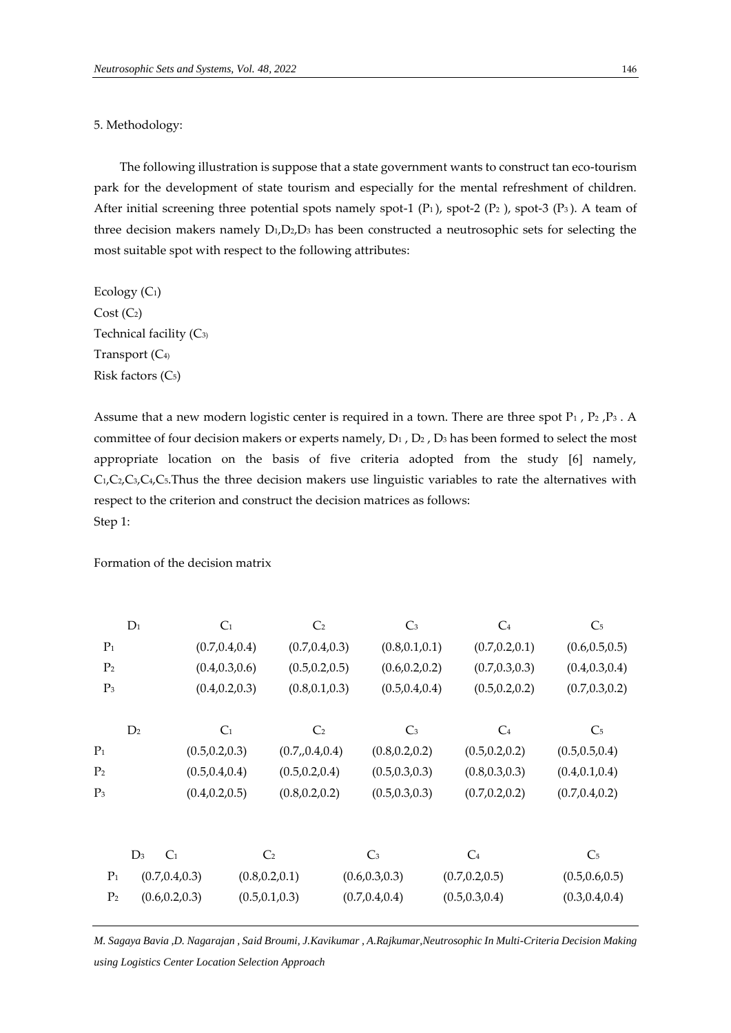#### 5. Methodology:

The following illustration is suppose that a state government wants to construct tan eco-tourism park for the development of state tourism and especially for the mental refreshment of children. After initial screening three potential spots namely spot-1  $(P_1)$ , spot-2  $(P_2)$ , spot-3  $(P_3)$ . A team of three decision makers namely  $D_1, D_2, D_3$  has been constructed a neutrosophic sets for selecting the most suitable spot with respect to the following attributes:

Ecology  $(C_1)$  $Cost (C<sub>2</sub>)$ Technical facility (C<sub>3)</sub> Transport (C4) Risk factors (C5)

Assume that a new modern logistic center is required in a town. There are three spot P<sub>1</sub>, P<sub>2</sub>, P<sub>3</sub>. A committee of four decision makers or experts namely,  $D_1$ ,  $D_2$ ,  $D_3$  has been formed to select the most appropriate location on the basis of five criteria adopted from the study [6] namely, C1,C2,C3,C4,C5.Thus the three decision makers use linguistic variables to rate the alternatives with respect to the criterion and construct the decision matrices as follows: Step 1:

Formation of the decision matrix

|                | $D_1$          | $C_1$           |                 | C <sub>2</sub>  | $C_3$           |                 | $C_4$           | C <sub>5</sub>  |
|----------------|----------------|-----------------|-----------------|-----------------|-----------------|-----------------|-----------------|-----------------|
| $P_1$          |                | (0.7, 0.4, 0.4) |                 | (0.7, 0.4, 0.3) | (0.8, 0.1, 0.1) |                 | (0.7, 0.2, 0.1) | (0.6, 0.5, 0.5) |
| P <sub>2</sub> |                | (0.4, 0.3, 0.6) |                 | (0.5, 0.2, 0.5) | (0.6, 0.2, 0.2) |                 | (0.7, 0.3, 0.3) | (0.4, 0.3, 0.4) |
| $P_3$          |                | (0.4, 0.2, 0.3) |                 | (0.8, 0.1, 0.3) | (0.5, 0.4, 0.4) |                 | (0.5, 0.2, 0.2) | (0.7, 0.3, 0.2) |
|                | D <sub>2</sub> | C <sub>1</sub>  |                 | C <sub>2</sub>  | $\mathbb{C}_3$  |                 | $C_4$           | C <sub>5</sub>  |
| $P_1$          |                | (0.5, 0.2, 0.3) |                 | (0.7, 0.4, 0.4) | (0.8, 0.2, 0.2) |                 | (0.5, 0.2, 0.2) | (0.5, 0.5, 0.4) |
| P <sub>2</sub> |                | (0.5, 0.4, 0.4) |                 | (0.5, 0.2, 0.4) | (0.5, 0.3, 0.3) |                 | (0.8, 0.3, 0.3) | (0.4, 0.1, 0.4) |
| $P_3$          |                | (0.4, 0.2, 0.5) |                 | (0.8, 0.2, 0.2) | (0.5, 0.3, 0.3) |                 | (0.7, 0.2, 0.2) | (0.7, 0.4, 0.2) |
|                |                |                 |                 |                 |                 |                 |                 |                 |
|                | $D_3$          | C <sub>1</sub>  | C <sub>2</sub>  |                 | $\mathsf{C}_3$  | $C_4$           |                 | C <sub>5</sub>  |
| $P_1$          |                | (0.7, 0.4, 0.3) | (0.8, 0.2, 0.1) |                 | (0.6, 0.3, 0.3) | (0.7, 0.2, 0.5) |                 | (0.5, 0.6, 0.5) |
| P <sub>2</sub> |                | (0.6, 0.2, 0.3) | (0.5, 0.1, 0.3) |                 | (0.7, 0.4, 0.4) | (0.5, 0.3, 0.4) |                 | (0.3, 0.4, 0.4) |
|                |                |                 |                 |                 |                 |                 |                 |                 |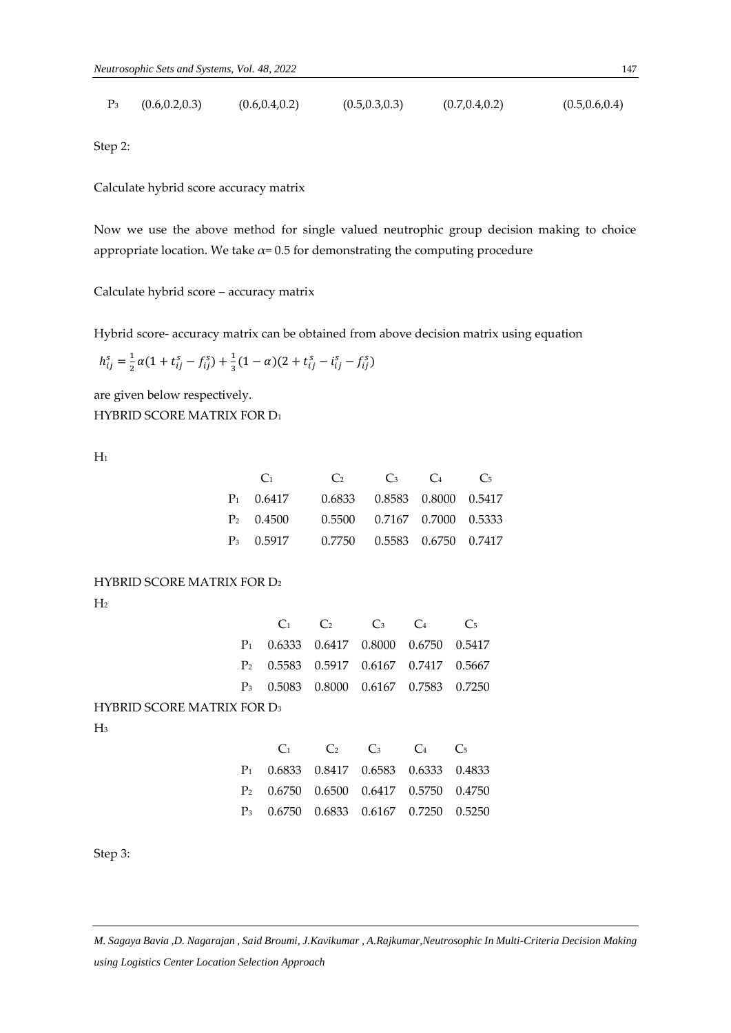| (0.6, 0.2, 0.3) | (0.6, 0.4, 0.2) | (0.5, 0.3, 0.3) | (0.7, 0.4, 0.2) | (0.5, 0.6, 0.4) |
|-----------------|-----------------|-----------------|-----------------|-----------------|
|                 |                 |                 |                 |                 |

Step 2:

Calculate hybrid score accuracy matrix

Now we use the above method for single valued neutrophic group decision making to choice appropriate location. We take  $\alpha$ = 0.5 for demonstrating the computing procedure

Calculate hybrid score – accuracy matrix

Hybrid score- accuracy matrix can be obtained from above decision matrix using equation

$$
h_{ij}^s = \frac{1}{2}\alpha(1+t_{ij}^s - f_{ij}^s) + \frac{1}{3}(1-\alpha)(2+t_{ij}^s - i_{ij}^s - f_{ij}^s)
$$

are given below respectively. HYBRID SCORE MATRIX FOR D<sup>1</sup>

 $H_1$ 

| $\binom{1}{1}$     | $\mathcal{C}_2$                | $\mathbb{C}_3$ | $\Gamma_4$ | $\mathcal{C}$ |
|--------------------|--------------------------------|----------------|------------|---------------|
| $P_1$ 0.6417       | 0.6833 0.8583 0.8000 0.5417    |                |            |               |
| $P_2 \quad 0.4500$ | 0.5500 0.7167 0.7000 0.5333    |                |            |               |
| $P_3$ 0.5917       | 0.7750  0.5583  0.6750  0.7417 |                |            |               |

HYBRID SCORE MATRIX FOR D<sup>2</sup>

 $H<sub>2</sub>$ 

|                                   |                | C <sub>1</sub> | C <sub>2</sub> | $C_3$                       | $C_4$  | C <sub>5</sub> |
|-----------------------------------|----------------|----------------|----------------|-----------------------------|--------|----------------|
|                                   | $P_1$          | 0.6333         | 0.6417 0.8000  |                             | 0.6750 | 0.5417         |
|                                   | P <sub>2</sub> | 0.5583         | 0.5917         | 0.6167 0.7417               |        | 0.5667         |
|                                   | $P_3$          |                |                | 0.5083 0.8000 0.6167 0.7583 |        | 0.7250         |
| <b>HYBRID SCORE MATRIX FOR D3</b> |                |                |                |                             |        |                |
| $H_3$                             |                |                |                |                             |        |                |
|                                   |                | C <sub>1</sub> | C <sub>2</sub> | $C_3$                       | $C_4$  | C <sub>5</sub> |
|                                   | $P_1$          |                | 0.6833 0.8417  | 0.6583 0.6333               |        | 0.4833         |
|                                   | P <sub>2</sub> | 0.6750         | 0.6500         | 0.6417                      | 0.5750 | 0.4750         |
|                                   | $P_3$          | 0.6750         | 0.6833         | 0.6167                      | 0.7250 | 0.5250         |

Step 3: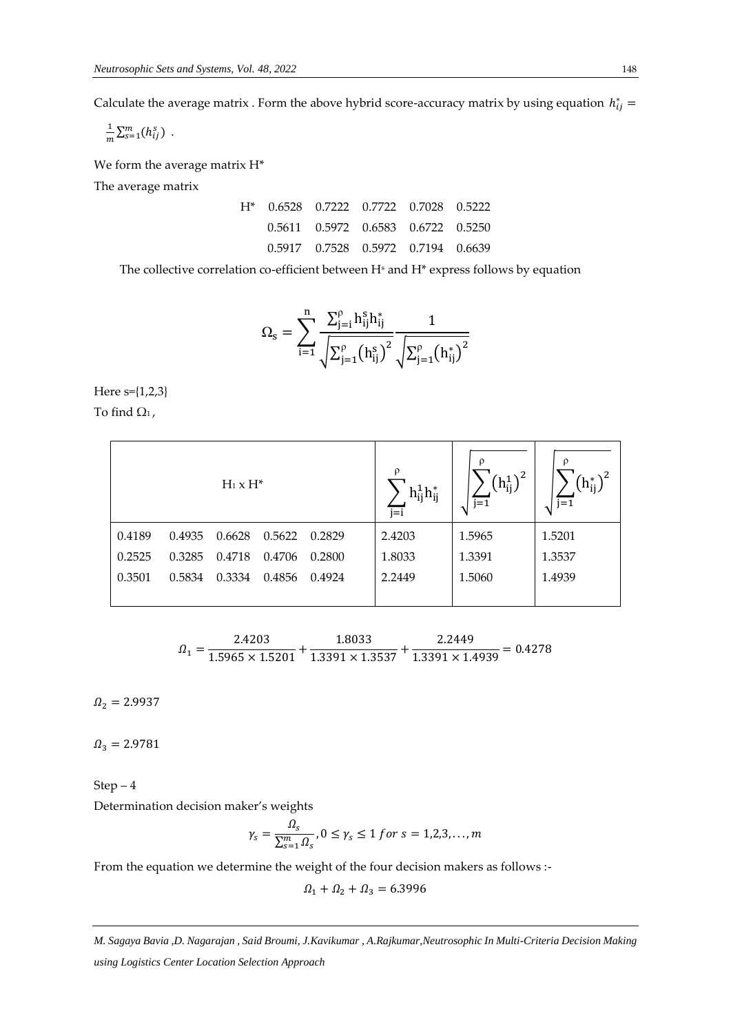Calculate the average matrix . Form the above hybrid score-accuracy matrix by using equation  $h_{ij}^* =$ 

1  $\frac{1}{m}\sum_{s=1}^{m}(h_{ij}^{s})$ .

We form the average matrix H\*

The average matrix

|  | 0.5611 0.5972 0.6583 0.6722 0.5250 |  |
|--|------------------------------------|--|
|  | 0.5917 0.7528 0.5972 0.7194 0.6639 |  |

The collective correlation co-efficient between  $H<sup>s</sup>$  and  $H<sup>*</sup>$  express follows by equation

$$
{\Omega _s} = \sum\limits_{i = 1}^n {\frac{{\sum\nolimits_{j = i}^{\rho } {h_{ij}^s{h_{ij}^*} } }}{{\sqrt {\Sigma _{j = 1}^{\rho }{{\left( {{h_{ij}^s}} \right)}^2}} }}\frac{1}{{\sqrt {\Sigma _{j = 1}^{\rho }{{\left( {{h_{ij}^*}} \right)}^2}} }}
$$

Here s={1,2,3} To find  $\Omega_1$ ,

|        |        | $H_1 \times H^*$ |        |        | $\rho$<br>$h_{ij}^1h_{ij}^*$<br>$j = i$ | ρ<br>$\left(h_{ij}^1\right)^2$<br>$i = 1$ | ρ<br>$(h_{ii}^*)^2$<br>$j=1$ |
|--------|--------|------------------|--------|--------|-----------------------------------------|-------------------------------------------|------------------------------|
| 0.4189 | 0.4935 | 0.6628           | 0.5622 | 0.2829 | 2.4203                                  | 1.5965                                    | 1.5201                       |
| 0.2525 | 0.3285 | 0.4718           | 0.4706 | 0.2800 | 1.8033                                  | 1.3391                                    | 1.3537                       |
| 0.3501 | 0.5834 | 0.3334           | 0.4856 | 0.4924 | 2.2449                                  | 1.5060                                    | 1.4939                       |
|        |        |                  |        |        |                                         |                                           |                              |

$$
\varOmega_{1}=\frac{2.4203}{1.5965\times1.5201}+\frac{1.8033}{1.3391\times1.3537}+\frac{2.2449}{1.3391\times1.4939}=0.4278
$$

 $\Omega_2 = 2.9937$ 

 $\Omega_3 = 2.9781$ 

Step – 4 Determination decision maker's weights

$$
\gamma_s = \frac{\Omega_s}{\sum_{s=1}^m \Omega_s}, 0 \le \gamma_s \le 1 \text{ for } s = 1, 2, 3, \dots, m
$$

From the equation we determine the weight of the four decision makers as follows :-

 $\Omega_1 + \Omega_2 + \Omega_3 = 6.3996$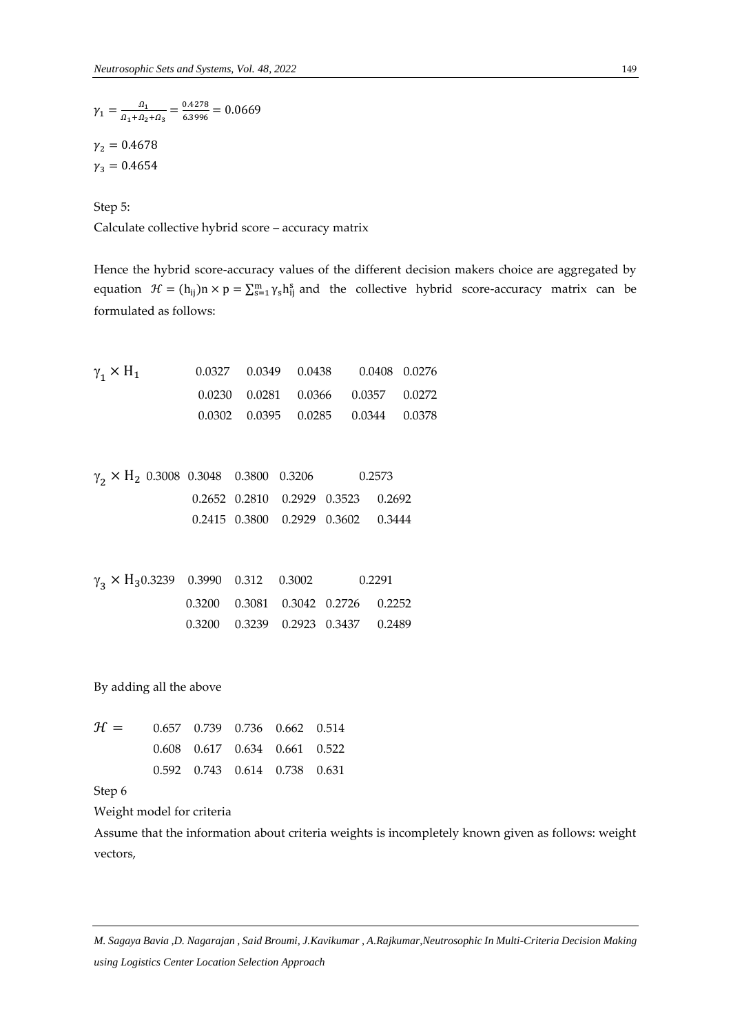$$
\gamma_1 = \frac{\Omega_1}{\Omega_1 + \Omega_2 + \Omega_3} = \frac{0.4278}{6.3996} = 0.0669
$$
  

$$
\gamma_2 = 0.4678
$$
  

$$
\gamma_3 = 0.4654
$$

Step 5:

Calculate collective hybrid score – accuracy matrix

Hence the hybrid score-accuracy values of the different decision makers choice are aggregated by equation  $\mathcal{H} = (h_{ij})n \times p = \sum_{s=1}^{m} \gamma_s h_{ij}^s$  and the collective hybrid score-accuracy matrix can be formulated as follows:

 $\gamma$ <sub>1</sub> × H<sup>1</sup> 0.0327 0.0349 0.0438 0.0408 0.0276 0.0230 0.0281 0.0366 0.0357 0.0272 0.0302 0.0395 0.0285 0.0344 0.0378

 $\gamma_2 \times H_2$  0.3008 0.3048 0.3800 0.3206 0.2573 0.2652 0.2810 0.2929 0.3523 0.2692 0.2415 0.3800 0.2929 0.3602 0.3444

 $\gamma_3 \times H_3$ 0.3239 0.3990 0.312 0.3002 0.2291 0.3200 0.3081 0.3042 0.2726 0.2252 0.3200 0.3239 0.2923 0.3437 0.2489

By adding all the above

| $\mathcal{H} = 0.657 \quad 0.739 \quad 0.736 \quad 0.662 \quad 0.514$ |  |                                         |  |
|-----------------------------------------------------------------------|--|-----------------------------------------|--|
|                                                                       |  | $0.608$ $0.617$ $0.634$ $0.661$ $0.522$ |  |
|                                                                       |  | 0.592 0.743 0.614 0.738 0.631           |  |

Step 6

Weight model for criteria

Assume that the information about criteria weights is incompletely known given as follows: weight vectors,

*M. Sagaya Bavia ,D. Nagarajan , Said Broumi, J.Kavikumar , A.Rajkumar,Neutrosophic In Multi-Criteria Decision Making using Logistics Center Location Selection Approach*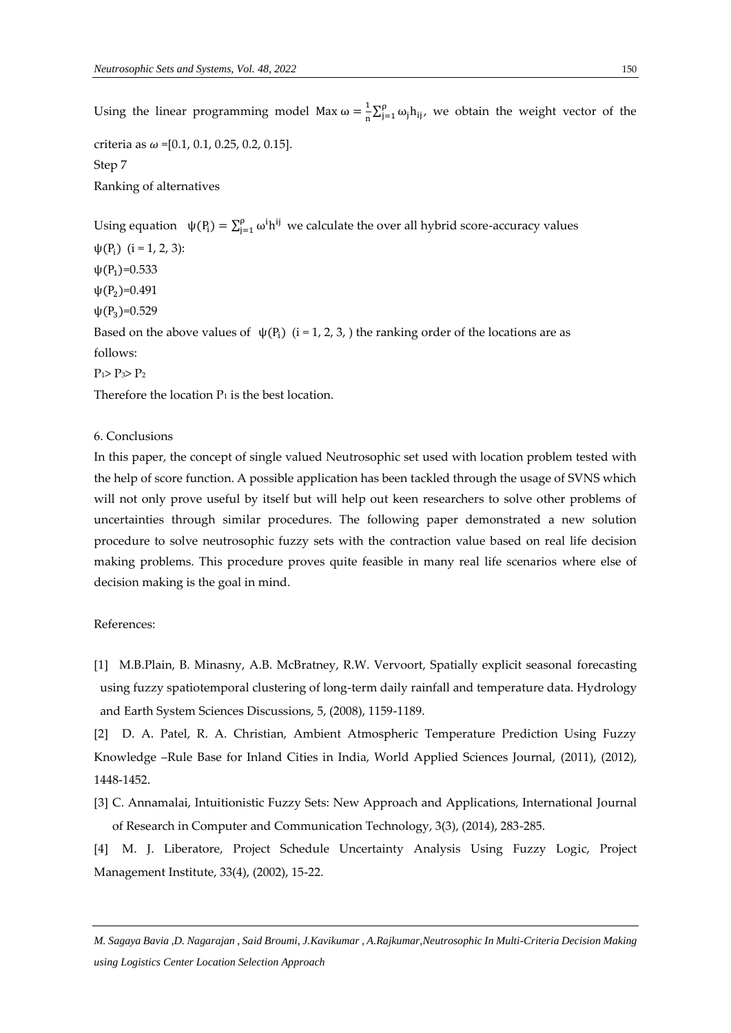Using the linear programming model Max  $\omega = \frac{1}{n}$  $\frac{1}{n} \sum_{j=1}^{p} \omega_j h_{ij}$  $\int_{j=1}^{p} \omega_j h_{ij}$ , we obtain the weight vector of the criteria as  $\omega$  =[0.1, 0.1, 0.25, 0.2, 0.15]. Step 7 Ranking of alternatives Using equation  $\psi(P_i) = \sum_{j=1}^{p} \omega^{i} h^{ij}$  we calculate the over all hybrid score-accuracy values  $\psi(P_i)$  (i = 1, 2, 3):  $\psi(P_1)=0.533$  $\psi(P_2)=0.491$  $\psi(P_3)=0.529$ Based on the above values of  $\psi(P_i)$  (i = 1, 2, 3, ) the ranking order of the locations are as follows:  $P_1 > P_3 > P_2$ 

Therefore the location  $P_1$  is the best location.

6. Conclusions

In this paper, the concept of single valued Neutrosophic set used with location problem tested with the help of score function. A possible application has been tackled through the usage of SVNS which will not only prove useful by itself but will help out keen researchers to solve other problems of uncertainties through similar procedures. The following paper demonstrated a new solution procedure to solve neutrosophic fuzzy sets with the contraction value based on real life decision making problems. This procedure proves quite feasible in many real life scenarios where else of decision making is the goal in mind.

References:

[1] M.B.Plain, B. Minasny, A.B. McBratney, R.W. Vervoort, Spatially explicit seasonal forecasting using fuzzy spatiotemporal clustering of long-term daily rainfall and temperature data. Hydrology and Earth System Sciences Discussions, 5, (2008), 1159-1189.

[2] D. A. Patel, R. A. Christian, Ambient Atmospheric Temperature Prediction Using Fuzzy Knowledge –Rule Base for Inland Cities in India, World Applied Sciences Journal, (2011), (2012), 1448-1452.

[3] C. Annamalai, Intuitionistic Fuzzy Sets: New Approach and Applications, International Journal of Research in Computer and Communication Technology, 3(3), (2014), 283-285.

[4] M. J. Liberatore, Project Schedule Uncertainty Analysis Using Fuzzy Logic, Project Management Institute, 33(4), (2002), 15-22.

*M. Sagaya Bavia ,D. Nagarajan , Said Broumi, J.Kavikumar , A.Rajkumar,Neutrosophic In Multi-Criteria Decision Making using Logistics Center Location Selection Approach*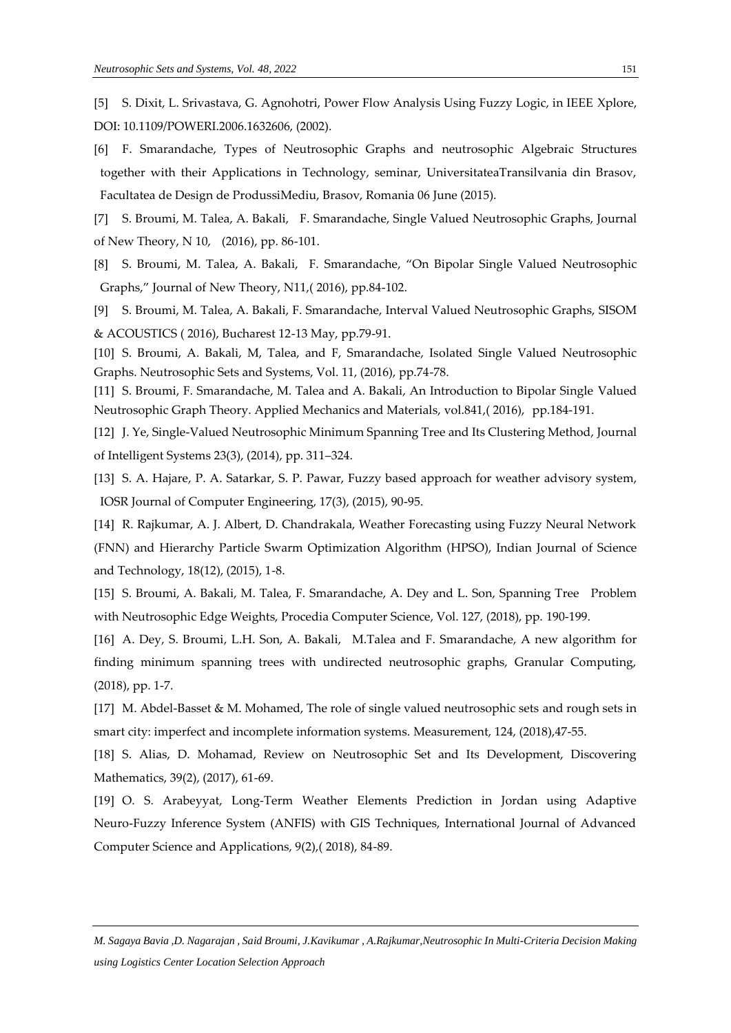- [6] F. Smarandache, Types of Neutrosophic Graphs and neutrosophic Algebraic Structures together with their Applications in Technology, seminar, UniversitateaTransilvania din Brasov, Facultatea de Design de ProdussiMediu, Brasov, Romania 06 June (2015).
- [7] S. Broumi, M. [Talea,](http://ieeexplore.ieee.org/search/searchresult.jsp?searchWithin=%22Authors%22:.QT.Broumi%2C%20S..QT.&newsearch=true) A. Bakali, F. [Smarandache,](http://ieeexplore.ieee.org/search/searchresult.jsp?searchWithin=%22Authors%22:.QT.Smarandache%2C%20F..QT.&newsearch=true) Single Valued Neutrosophic Graphs, Journal of New Theory, N 10, (2016), pp. 86-101.
- [8] S. Broumi, M. [Talea,](http://ieeexplore.ieee.org/search/searchresult.jsp?searchWithin=%22Authors%22:.QT.Broumi%2C%20S..QT.&newsearch=true) A. Bakali, F. [Smarandache](http://ieeexplore.ieee.org/search/searchresult.jsp?searchWithin=%22Authors%22:.QT.Smarandache%2C%20F..QT.&newsearch=true), "On Bipolar Single Valued Neutrosophic Graphs," Journal of New Theory, N11,( 2016), pp.84-102.
- [9] S. Broumi, M. [Talea,](http://ieeexplore.ieee.org/search/searchresult.jsp?searchWithin=%22Authors%22:.QT.Broumi%2C%20S..QT.&newsearch=true) A. Bakali, F. [Smarandache,](http://ieeexplore.ieee.org/search/searchresult.jsp?searchWithin=%22Authors%22:.QT.Smarandache%2C%20F..QT.&newsearch=true) Interval Valued Neutrosophic Graphs, SISOM & ACOUSTICS ( 2016), Bucharest 12-13 May, pp.79-91.
- [10] S. Broumi, A. Bakali, M, Talea, and F, Smarandache, Isolated Single Valued Neutrosophic Graphs. Neutrosophic Sets and Systems, Vol. 11, (2016), pp.74-78.
- [11] S. Broumi, F. Smarandache, M. Talea and A. Bakali, An Introduction to Bipolar Single Valued Neutrosophic Graph Theory. Applied Mechanics and Materials, vol.841,( 2016), pp.184-191.
- [12] J. Ye, Single-Valued Neutrosophic Minimum Spanning Tree and Its Clustering Method, Journal of Intelligent Systems 23(3), (2014), pp. 311–324.
- [13] S. A. Hajare, P. A. Satarkar, S. P. Pawar, Fuzzy based approach for weather advisory system, IOSR Journal of Computer Engineering, 17(3), (2015), 90-95.
- [14] R. Rajkumar, A. J. Albert, D. Chandrakala, Weather Forecasting using Fuzzy Neural Network (FNN) and Hierarchy Particle Swarm Optimization Algorithm (HPSO), Indian Journal of Science and Technology, 18(12), (2015), 1-8.
- [15] S. Broumi, A. Bakali, M. Talea, F. Smarandache, A. Dey and L. Son, Spanning Tree Problem with Neutrosophic Edge Weights, Procedia Computer Science, Vol. 127, (2018), pp. 190-199.
- [16] A. Dey, S. Broumi, L.H. Son, A. Bakali, M.Talea and F. Smarandache, A new algorithm for finding minimum spanning trees with undirected neutrosophic graphs, Granular Computing, (2018), pp. 1-7.
- [17] M. Abdel-Basset & M. Mohamed, The role of single valued neutrosophic sets and rough sets in smart city: imperfect and incomplete information systems. Measurement, 124, (2018),47-55.
- [18] S. Alias, D. Mohamad, Review on Neutrosophic Set and Its Development, Discovering Mathematics, 39(2), (2017), 61-69.
- [19] O. S. Arabeyyat, Long-Term Weather Elements Prediction in Jordan using Adaptive Neuro-Fuzzy Inference System (ANFIS) with GIS Techniques, International Journal of Advanced Computer Science and Applications, 9(2),( 2018), 84-89.
- *M. Sagaya Bavia ,D. Nagarajan , Said Broumi, J.Kavikumar , A.Rajkumar,Neutrosophic In Multi-Criteria Decision Making using Logistics Center Location Selection Approach*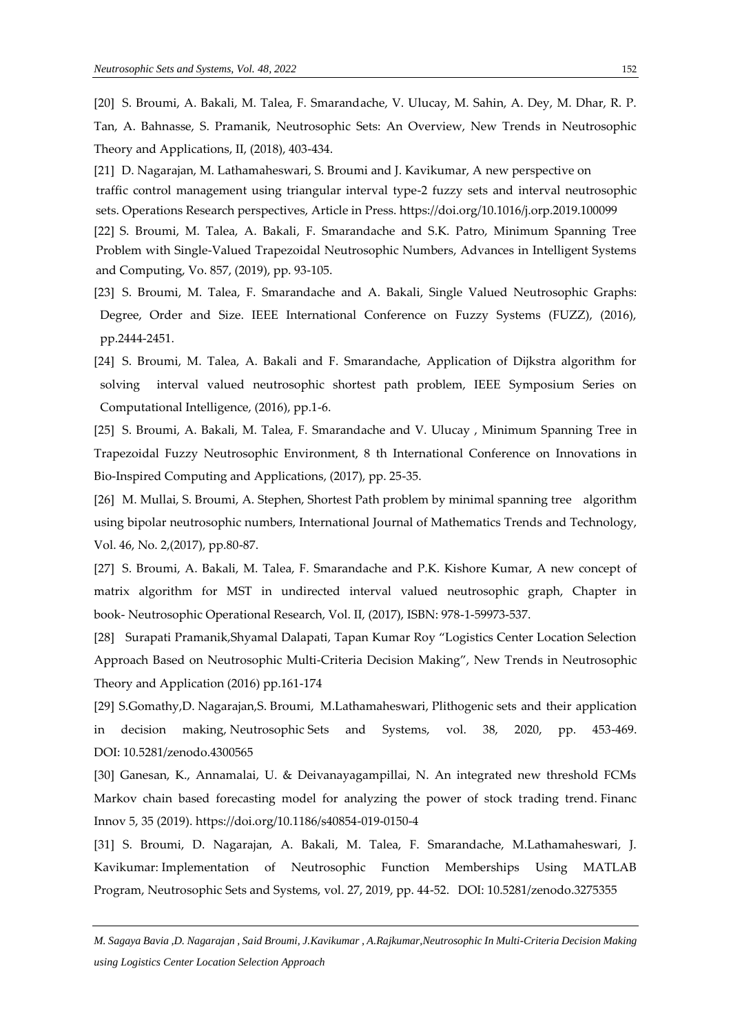[20] S. Broumi, A. Bakali, M. Talea, F. Smarandache, V. Ulucay, M. Sahin, A. Dey, M. Dhar, R. P. Tan, A. Bahnasse, S. Pramanik, Neutrosophic Sets: An Overview, New Trends in Neutrosophic Theory and Applications, II, (2018), 403-434.

[21] D. Nagarajan, M. Lathamaheswari, S. Broumi and J. Kavikumar, A new perspective on traffic control management using triangular interval type-2 fuzzy sets and interval neutrosophic sets. Operations Research perspectives, Article in Press. https://doi.org/10.1016/j.orp.2019.100099 [22] S. Broumi, M. Talea, A. Bakali, F. Smarandache and S.K. Patro, Minimum Spanning Tree Problem with Single-Valued Trapezoidal Neutrosophic Numbers, Advances in Intelligent Systems and Computing, Vo. 857, (2019), pp. 93-105.

[23] S. Broumi, M. [Talea,](http://ieeexplore.ieee.org/search/searchresult.jsp?searchWithin=%22Authors%22:.QT.Broumi%2C%20S..QT.&newsearch=true) F. [Smarandache](http://ieeexplore.ieee.org/search/searchresult.jsp?searchWithin=%22Authors%22:.QT.Smarandache%2C%20F..QT.&newsearch=true) and A. Bakali, Single Valued Neutrosophic Graphs: Degree, Order and Size. IEEE International Conference on Fuzzy Systems (FUZZ), (2016), pp.2444-2451.

[24] S. Broumi, M. Talea, A. Bakali and F. Smarandache, Application of Dijkstra algorithm for solving interval valued neutrosophic shortest path problem, IEEE Symposium Series on Computational Intelligence, (2016), pp.1-6.

[25] S. Broumi, A. Bakali, M. Talea, F. Smarandache and V. Ulucay , Minimum Spanning Tree in Trapezoidal Fuzzy Neutrosophic Environment, 8 th International Conference on Innovations in Bio-Inspired Computing and Applications, (2017), pp. 25-35.

[26] M. Mullai, S. Broumi, A. Stephen, Shortest Path problem by minimal spanning tree algorithm using bipolar neutrosophic numbers, International Journal of Mathematics Trends and Technology, Vol. 46, No. 2,(2017), pp.80-87.

[27] S. Broumi, A. Bakali, M. Talea, F. Smarandache and P.K. Kishore Kumar, A new concept of matrix algorithm for MST in undirected interval valued neutrosophic graph, Chapter in book- Neutrosophic Operational Research, Vol. II, (2017), ISBN: 978-1-59973-537.

[28] Surapati Pramanik,Shyamal Dalapati, Tapan Kumar Roy "Logistics Center Location Selection Approach Based on Neutrosophic Multi-Criteria Decision Making", New Trends in Neutrosophic Theory and Application (2016) pp.161-174

[29] S.Gomathy,D. Nagarajan,S. Broumi, M.Lathamaheswari, Plithogenic [sets and their application](http://fs.unm.edu/NSS/PlithogenicSetsAndTheirApplication30.pdf)  [in decision making,](http://fs.unm.edu/NSS/PlithogenicSetsAndTheirApplication30.pdf) Neutrosophic Sets and Systems, vol. 38, 2020, pp. 453-469. DOI: 10.5281/zenodo.4300565

[30] Ganesan, K., Annamalai, U. & Deivanayagampillai, N. An integrated new threshold FCMs Markov chain based forecasting model for analyzing the power of stock trading trend. Financ Innov 5, 35 (2019).<https://doi.org/10.1186/s40854-019-0150-4>

[31] S. Broumi, D. Nagarajan, A. Bakali, M. Talea, F. Smarandache, M.Lathamaheswari, J. Kavikumar: [Implementation of Neutrosophic Function Memberships Using MATLAB](http://fs.unm.edu/NSS/Implementation%20of%20Neutrosophic%20Function.pdf)  [Program,](http://fs.unm.edu/NSS/Implementation%20of%20Neutrosophic%20Function.pdf) Neutrosophic Sets and Systems, vol. 27, 2019, pp. 44-52. DOI: [10.5281/zenodo.3275355](https://zenodo.org/record/3275355)

*M. Sagaya Bavia ,D. Nagarajan , Said Broumi, J.Kavikumar , A.Rajkumar,Neutrosophic In Multi-Criteria Decision Making using Logistics Center Location Selection Approach*